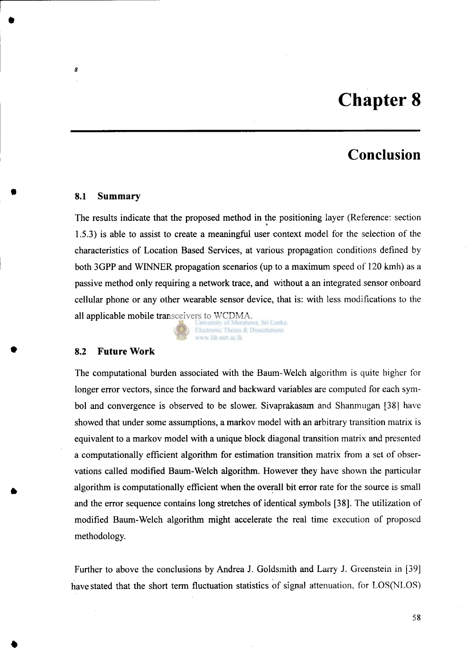# **Chapter 8**

## **Conclusion**

#### **8.1 Summary**

*8* 

The results indicate that the proposed method in the positioning layer (Reference: section 1.5.3) is able to assist to create a meaningful user context model for the selection of the characteristics of Location Based Services, at various propagation conditions defined by both 3GPP and WINNER propagation scenarios (up to a maximum speed of 120 kmh) as a passive method only requiring a network trace, and without a an integrated sensor onboard cellular phone or any other wearable sensor device, that is: with less modifications to the all applicable mobile transceivers to WCDMA.

Electronic Theses & Dissertations www.lib.mrt.ac.lk

#### **8.2 Future Work**

The computational burden associated with the Baum-Welch algorithm is quite higher for longer error vectors, since the forward and backward variables are computed for each symbol and convergence is observed to be slower. Sivaprakasam and Shanmugan [38] have showed that under some assumptions, a markov model with an arbitrary transition matrix is equivalent to a markov model with a unique block diagonal transition matrix and presented a computationally efficient algorithm for estimation transition matrix from a set of observations called modified Baum-Welch algorithm. However they have shown the particular algorithm is computationally efficient when the overall bit error rate for the source is small and the error sequence contains long stretches of identical symbols [38]. The utilization of modified Baum-Welch algorithm might accelerate the real time execution of proposed methodology.

Further to above the conclusions by Andrea J. Goldsmith and Larry J. Greenstein in [39] have stated that the short term fluctuation statistics of signal attenuation, for LOS(NLOS)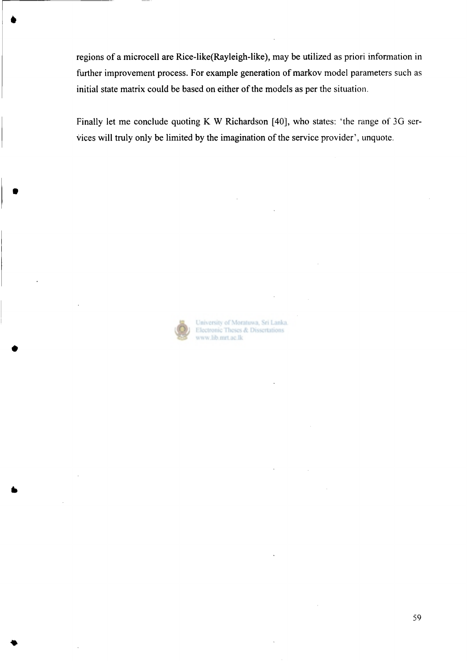regions of a microcell are Rice-like(Rayleigh-like), may be utilized as priori information in further improvement process. For example generation of markov model parameters such as initial state matrix could be based on either of the models as per the situation.

Finally let me conclude quoting K W Richardson [40], who states: 'the range of 3G services will truly only be limited by the imagination of the service provider', unquote.



**#** 

University of Moratuwa, Sri Lanka. Electronic Theses & Dissertations www.lib.mrt.ac.lk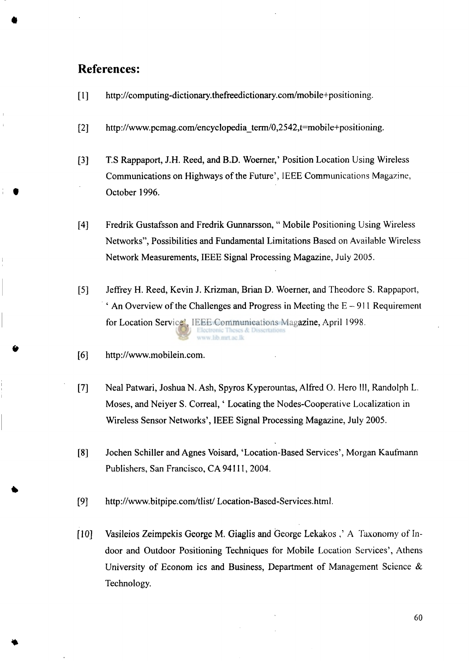### **References:**

- $[1]$ http://computing-dictionary.thefreedictionary.com/mobile+positioning.
- $[2]$ http://www.pcmag.com/encyclopedia term/0,2542,t=mobile+positioning.
- $[3]$ T.S Rappaport, J.H. Reed, and B.D. Woerner,' Position Location Using Wireless Communications on Highways of the Future', IEEE Communications Magazine, October 1996.
- Fredrik Gustafsson and Fredrik Gunnarsson, " Mobile Positioning Using Wireless  $[4]$ Networks", Possibilities and Fundamental Limitations Based on Available Wireless Network Measurements, IEEE Signal Processing Magazine, July 2005.
- $\left[5\right]$ Jeffrey H. Reed, Kevin J. Krizman, Brian D. Woerner, and Theodore S. Rappaport, ' An Overview of the Challenges and Progress in Meeting the  $E - 911$  Requirement for Location Service', IEEE Communications Magazine, April 1998. ww.lib.mrt.ac.lk
- $[6]$ [http://www.mobilein.com.](http://www.mobilein.com)
- Neal Patwari, Joshua N. Ash, Spyros Kyperountas, Alfred O. Hero III, Randolph L.  $[7]$ Moses, and Neiyer S. Correal,' Locating the Nodes-Cooperative Localization in Wireless Sensor Networks', IEEE Signal Processing Magazine, July 2005.
- Jochen Schiller and Agnes Voisard, 'Location-Based Services', Morgan Kaufmann  $[8]$ Publishers, San Francisco, CA94111, 2004.
- $[9]$ <http://www.bitpipe.com/tlist/>Location-Based-Services.html.
- $[10]$ Vasileios Zeimpekis George M. Giaglis and George Lekakos ,' A Taxonomy of Indoor and Outdoor Positioning Techniques for Mobile Location Services', Athens University of Econom ics and Business, Department of Management Science & Technology.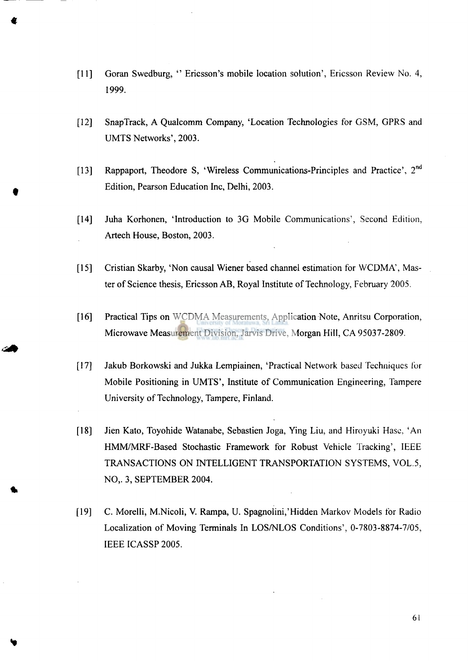- Goran Swedburg, " Ericsson's mobile location solution', Ericsson Review No. **4,**   $[11]$ 1999.
- SnapTrack, A Qualcomm Company, 'Location Technologies for GSM, GPRS and  $[12]$ UMTS Networks', 2003.
- Rappaport, Theodore S, 'Wireless Communications-Principles and Practice', 2<sup>nd</sup>  $[13]$ Edition, Pearson Education Inc, Delhi, 2003.
- $[14]$ Juha Korhonen, 'Introduction to 3G Mobile Communications', Second Edition, Artech House, Boston, 2003.
- $[15]$ Cristian Skarby, 'Non causal Wiener based channel estimation for WCDMA', Master of Science thesis, Ericsson AB, Royal Institute of Technology, February 2005.
- Practical Tips on WCDMA Measurements, Application Note, Anritsu Corporation,  $[16]$ Microwave Measurement Division, Jarvis Drive, Morgan Hill, CA 95037-2809.
- $[17]$ Jakub Borkowski and Jukka Lempiainen, 'Practical Network based Techniques for Mobile Positioning in UMTS', Institute of Communication Engineering, Tampere University of Technology, Tampere, Finland.
- $[18]$ Jien Kato, Toyohide Watanabe, Sebastien Joga, Ying Liu, and Hiroyuki Hase, 'An HMM/MRF-Based Stochastic Framework for Robust Vehicle Tracking', IEEE TRANSACTIONS ON INTELLIGENT TRANSPORTATION SYSTEMS, VOL.5, NO,. 3, SEPTEMBER 2004.
- $[19]$ C. Morelli, M.Nicoli, V. Rampa, U. Spagnolini,'Hidden Markov Models for Radio Localization of Moving Terminals In LOS/NLOS Conditions', 0-7803-8874-7/05, IEEE ICASSP 2005.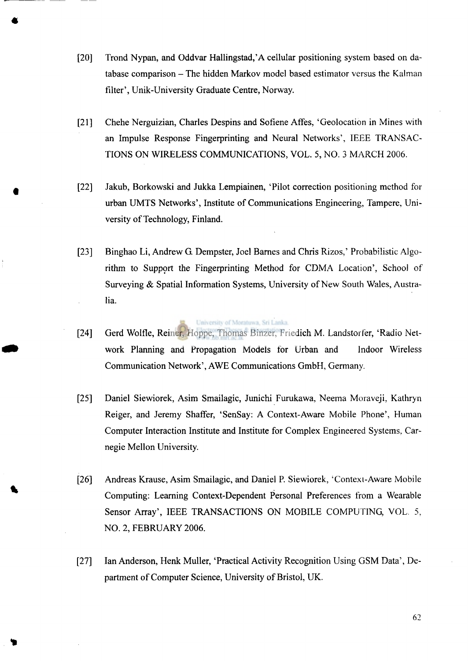- [20] Trond Nypan, and Oddvar Hallingstad,'A cellular positioning system based on database comparison - The hidden Markov model based estimator versus the Kalman filter', Unik-University Graduate Centre, Norway.
- [21] Chehe Nerguizian, Charles Despins and Sofiene Affes, 'Geolocation in Mines with an Impulse Response Fingerprinting and Neural Networks', IEEE TRANSAC-TIONS ON WIRELESS COMMUNICATIONS, VOL. 5, NO. 3 MARCH 2006.
- [22] Jakub, Borkowski and Jukka Lempiainen, 'Pilot correction positioning method for urban UMTS Networks', Institute of Communications Engineering, Tampere, University of Technology, Finland.
- [23] Binghao Li, Andrew G. Dempster, Joel Barnes and Chris Rizos,' Probabilistic Algorithm to Support the Fingerprinting Method for CDMA Location', School of Surveying & Spatial Information Systems, University of New South Wales, Australia.
- [24] Gerd Wolfle, Reiner, Hoppe, Thomas Binzer, Friedich M. Landstorier, 'Radio Network Planning and Propagation Models for Urban and Indoor Wireless Communication Network', AWE Communications GmbH, Germany.

University of Moratuwa, Sri Lanka.

- [25] Daniel Siewiorek, Asim Smailagic, Junichi Furukawa, Neema Moraveji, Kathryn Reiger, and Jeremy Shaffer, 'SenSay: A Context-Aware Mobile Phone', Human Computer Interaction Institute and Institute for Complex Engineered Systems, Carnegie Mellon University.
- [26] Andreas Krause, Asim Smailagic, and Daniel P. Siewiorek, 'Context-Aware Mobile Computing: Learning Context-Dependent Personal Preferences from a Wearable Sensor Array', IEEE TRANSACTIONS ON MOBILE COMPUTING, VOL. 5, NO. 2, FEBRUARY 2006.
- [27] Ian Anderson, Henk Muller, 'Practical Activity Recognition Using GSM Data', Department of Computer Science, University of Bristol, UK.

**6 2**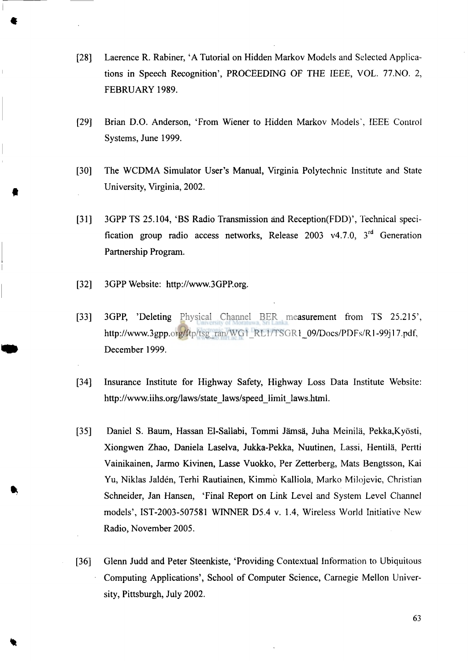- [28] Laerence R. Rabiner, 'A Tutorial on Hidden Markov Models and Selected Applications in Speech Recognition', PROCEEDING OF THE IEEE, VOL. 77.NO. 2, FEBRUARY 1989.
- [29] Brian D.O. Anderson, 'From Wiener to Hidden Markov Models', IEEE Control Systems, June 1999.
- [30] The WCDMA Simulator User's Manual, Virginia Polytechnic Institute and State University, Virginia, 2002.
- [31] 3GPP TS 25.104, 'BS Radio Transmission and Reception(FDD)', Technical specification group radio access networks, Release  $2003 \text{ v}4.7.0, 3^{\text{u}}$  Generation Partnership Program.
- [32] 3GPP Website: [http://www.3GPP.org.](http://www.3GPP.org)
- [33] 3GPP, 'Deleting Physical Channel BER measurement from TS 25.215', http://www.3gpp.org/ftp/tsg\_ran/WG1\_RL1/TSGR1\_09/Docs/PDFs/R1-99j17.pdf, December 1999.
- [34] Insurance Institute for Highway Safety, Highway Loss Data Institute Website: [http://www.iihs.org/laws/state\\_laws/speed\\_limit\\_laws.html.](http://www.iihs.org/laws/state_laws/speed_limit_laws.html)
- [35] Daniel S. Baum, Hassan El-Sallabi, Tommi Jämsä, Juha Meinilä, Pekka, Kyösti, Xiongwen Zhao, Daniela Laselva, Jukka-Pekka, Nuutinen, Lassi, Hentila, Pertti Vainikainen, Jarmo Kivinen, Lasse Vuokko, Per Zetterberg, Mats Bengtsson, Kai Yu, Niklas Jalden, Terhi Rautiainen, Kimmo Kalliola, Marko Milojevic, Christian Schneider, Jan Hansen, 'Final Report on Link Level and System Level Channel models', IST-2003-507581 WINNER D5.4 v. 1.4, Wireless World Initiative New Radio, November 2005.
- [36] Glenn Judd and Peter Steenkiste, 'Providing Contextual Information to Ubiquitous Computing Applications', School of Computer Science, Carnegie Mellon University, Pittsburgh, July 2002.

63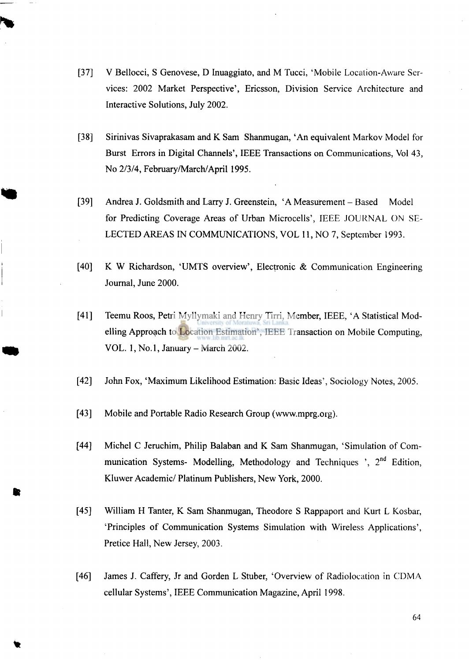- $\lceil 37 \rceil$ V Bellocci, S Genovese, D Inuaggiato, and M Tucci, 'Mobile Location-Aware Services: 2002 Market Perspective', Ericsson, Division Service Architecture and Interactive Solutions, July 2002.
- $[38]$ Sirinivas Sivaprakasam and K Sam Shanmugan, 'An equivalent Markov Model for Burst Errors in Digital Channels', IEEE Transactions on Communications, Vol 43, No 2/3/4, February/March/April 1995.
- $[39]$ Andrea J. Goldsmith and Larry J. Greenstein, 'A Measurement - Based Model for Predicting Coverage Areas of Urban Microcells', IEEE JOURNAL ON SE-LECTED AREAS IN COMMUNICATIONS, VOL 11, NO 7, September 1993.
- $[40]$ K W Richardson, 'UMTS overview', Electronic & Communication Engineering Journal, June 2000.
- $[41]$ Teemu Roos, Petri Myllymaki and Henry Tirri, Member, IEEE, 'A Statistical Modelling Approach to Location Estimation', IEEE Transaction on Mobile Computing, VOL. 1, No. 1, January - March 2002.
- $[42]$ John Fox, 'Maximum Likelihood Estimation: Basic Ideas', Sociology Notes, 2005.
- $[43]$ Mobile and Portable Radio Research Group ([www.mprg.org\)](http://www.mprg.org).
- $[44]$ Michel C Jeruchim, Philip Balaban and K Sam Shanmugan, 'Simulation of Communication Systems- Modelling, Methodology and Techniques  $\cdot$ , 2<sup>nd</sup> Edition, Kluwer Academic/ Platinum Publishers, New York, 2000.
- $[45]$ William H Tanter, K Sam Shanmugan, Theodore S Rappaport and Kurt L Kosbar, 'Principles of Communication Systems Simulation with Wireless Applications', Pretice Hall, New Jersey, 2003.
- $[46]$ James J. Caffery, Jr and Gorden L Stuber, 'Overview of Radiolocation in CDMA cellular Systems', IEEE Communication Magazine, April 1998.

64